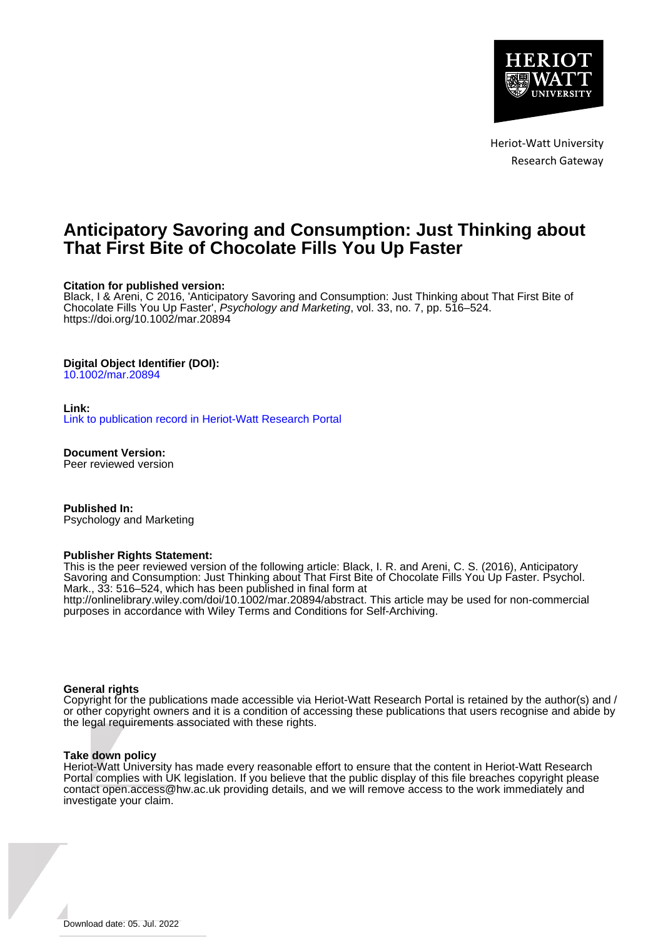

Heriot-Watt University Research Gateway

# **Anticipatory Savoring and Consumption: Just Thinking about That First Bite of Chocolate Fills You Up Faster**

#### **Citation for published version:**

Black, I & Areni, C 2016, 'Anticipatory Savoring and Consumption: Just Thinking about That First Bite of Chocolate Fills You Up Faster', Psychology and Marketing, vol. 33, no. 7, pp. 516–524. <https://doi.org/10.1002/mar.20894>

#### **Digital Object Identifier (DOI):**

[10.1002/mar.20894](https://doi.org/10.1002/mar.20894)

#### **Link:**

[Link to publication record in Heriot-Watt Research Portal](https://researchportal.hw.ac.uk/en/publications/410f63e1-6235-4962-8f37-b4d4750c7235)

**Document Version:** Peer reviewed version

**Published In:** Psychology and Marketing

#### **Publisher Rights Statement:**

This is the peer reviewed version of the following article: Black, I. R. and Areni, C. S. (2016), Anticipatory Savoring and Consumption: Just Thinking about That First Bite of Chocolate Fills You Up Faster. Psychol. Mark., 33: 516–524, which has been published in final form at http://onlinelibrary.wiley.com/doi/10.1002/mar.20894/abstract. This article may be used for non-commercial purposes in accordance with Wiley Terms and Conditions for Self-Archiving.

#### **General rights**

Copyright for the publications made accessible via Heriot-Watt Research Portal is retained by the author(s) and / or other copyright owners and it is a condition of accessing these publications that users recognise and abide by the legal requirements associated with these rights.

#### **Take down policy**

Heriot-Watt University has made every reasonable effort to ensure that the content in Heriot-Watt Research Portal complies with UK legislation. If you believe that the public display of this file breaches copyright please contact open.access@hw.ac.uk providing details, and we will remove access to the work immediately and investigate your claim.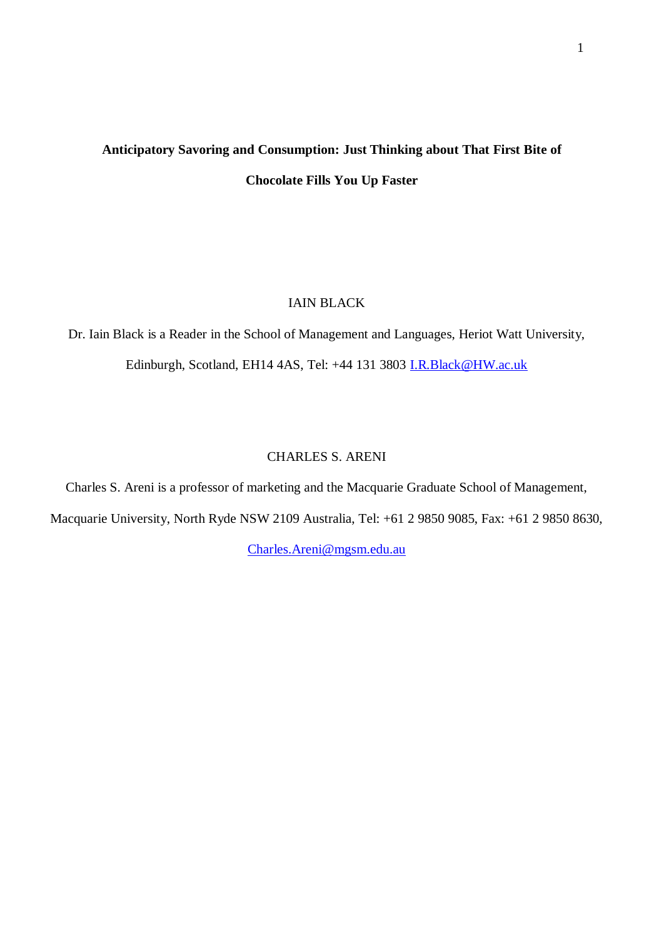# **Anticipatory Savoring and Consumption: Just Thinking about That First Bite of Chocolate Fills You Up Faster**

# IAIN BLACK

Dr. Iain Black is a Reader in the School of Management and Languages, Heriot Watt University, Edinburgh, Scotland, EH14 4AS, Tel: +44 131 3803 [I.R.Black@HW.ac.uk](mailto:I.R.Black@HW.ac.uk)

# CHARLES S. ARENI

Charles S. Areni is a professor of marketing and the Macquarie Graduate School of Management, Macquarie University, North Ryde NSW 2109 Australia, Tel: +61 2 9850 9085, Fax: +61 2 9850 8630,

[Charles.Areni@mgsm.edu.au](mailto:Charles.Areni@mgsm.edu.au)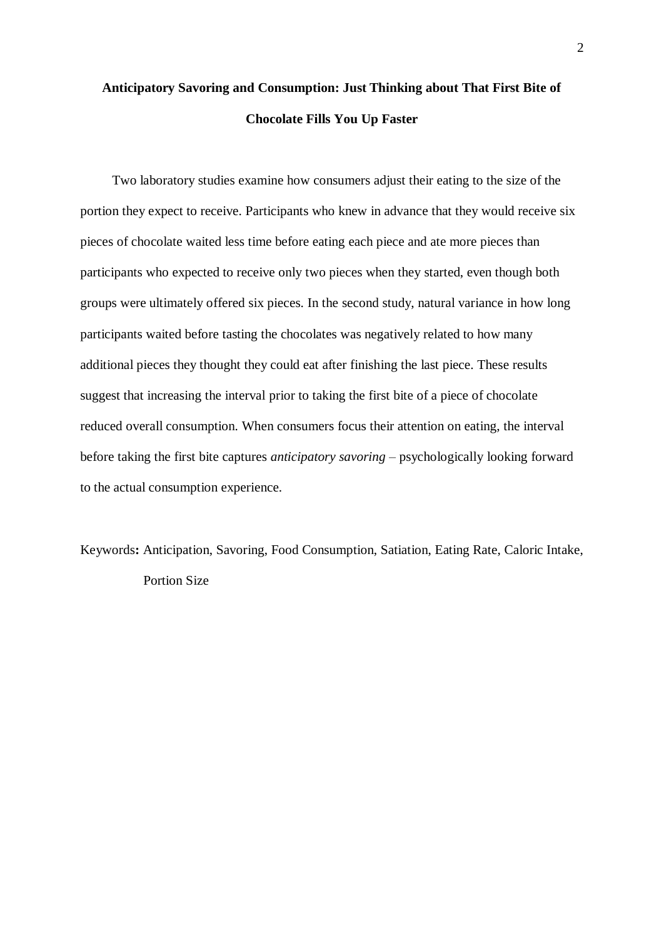# **Anticipatory Savoring and Consumption: Just Thinking about That First Bite of Chocolate Fills You Up Faster**

Two laboratory studies examine how consumers adjust their eating to the size of the portion they expect to receive. Participants who knew in advance that they would receive six pieces of chocolate waited less time before eating each piece and ate more pieces than participants who expected to receive only two pieces when they started, even though both groups were ultimately offered six pieces. In the second study, natural variance in how long participants waited before tasting the chocolates was negatively related to how many additional pieces they thought they could eat after finishing the last piece. These results suggest that increasing the interval prior to taking the first bite of a piece of chocolate reduced overall consumption. When consumers focus their attention on eating, the interval before taking the first bite captures *anticipatory savoring* – psychologically looking forward to the actual consumption experience.

Keywords**:** Anticipation, Savoring, Food Consumption, Satiation, Eating Rate, Caloric Intake, Portion Size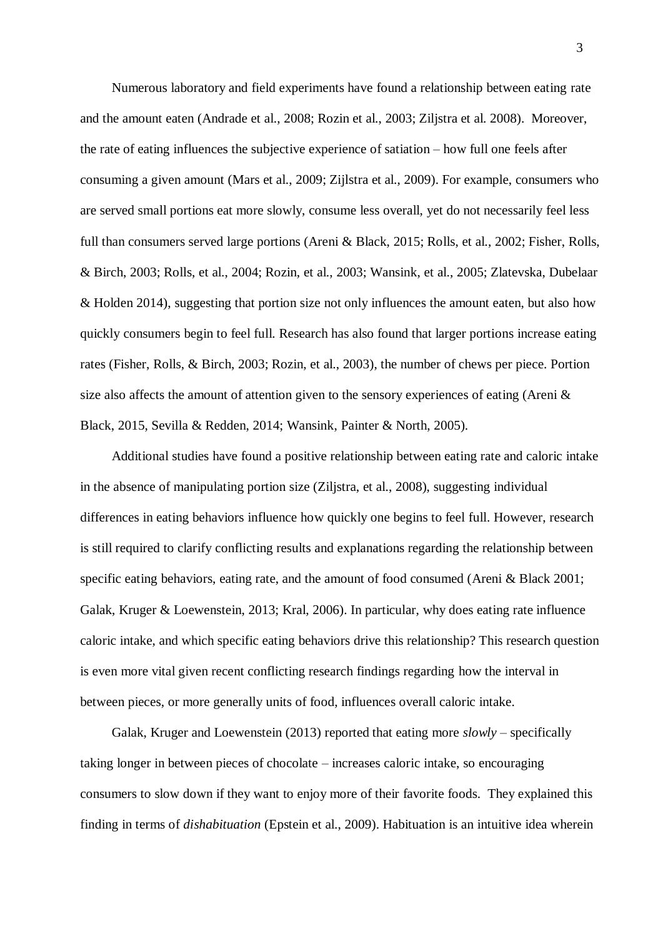Numerous laboratory and field experiments have found a relationship between eating rate and the amount eaten (Andrade et al., 2008; Rozin et al., 2003; Ziljstra et al. 2008). Moreover, the rate of eating influences the subjective experience of satiation – how full one feels after consuming a given amount (Mars et al., 2009; Zijlstra et al., 2009). For example, consumers who are served small portions eat more slowly, consume less overall, yet do not necessarily feel less full than consumers served large portions (Areni & Black, 2015; Rolls, et al., 2002; Fisher, Rolls, & Birch, 2003; Rolls, et al., 2004; Rozin, et al., 2003; Wansink, et al., 2005; Zlatevska, Dubelaar & Holden 2014), suggesting that portion size not only influences the amount eaten, but also how quickly consumers begin to feel full. Research has also found that larger portions increase eating rates (Fisher, Rolls, & Birch, 2003; Rozin, et al., 2003), the number of chews per piece. Portion size also affects the amount of attention given to the sensory experiences of eating (Areni  $\&$ Black, 2015, Sevilla & Redden, 2014; Wansink, Painter & North, 2005).

Additional studies have found a positive relationship between eating rate and caloric intake in the absence of manipulating portion size (Ziljstra, et al., 2008), suggesting individual differences in eating behaviors influence how quickly one begins to feel full. However, research is still required to clarify conflicting results and explanations regarding the relationship between specific eating behaviors, eating rate, and the amount of food consumed (Areni & Black 2001; Galak, Kruger & Loewenstein, 2013; Kral, 2006). In particular, why does eating rate influence caloric intake, and which specific eating behaviors drive this relationship? This research question is even more vital given recent conflicting research findings regarding how the interval in between pieces, or more generally units of food, influences overall caloric intake.

Galak, Kruger and Loewenstein (2013) reported that eating more *slowly* – specifically taking longer in between pieces of chocolate – increases caloric intake, so encouraging consumers to slow down if they want to enjoy more of their favorite foods. They explained this finding in terms of *dishabituation* (Epstein et al., 2009). Habituation is an intuitive idea wherein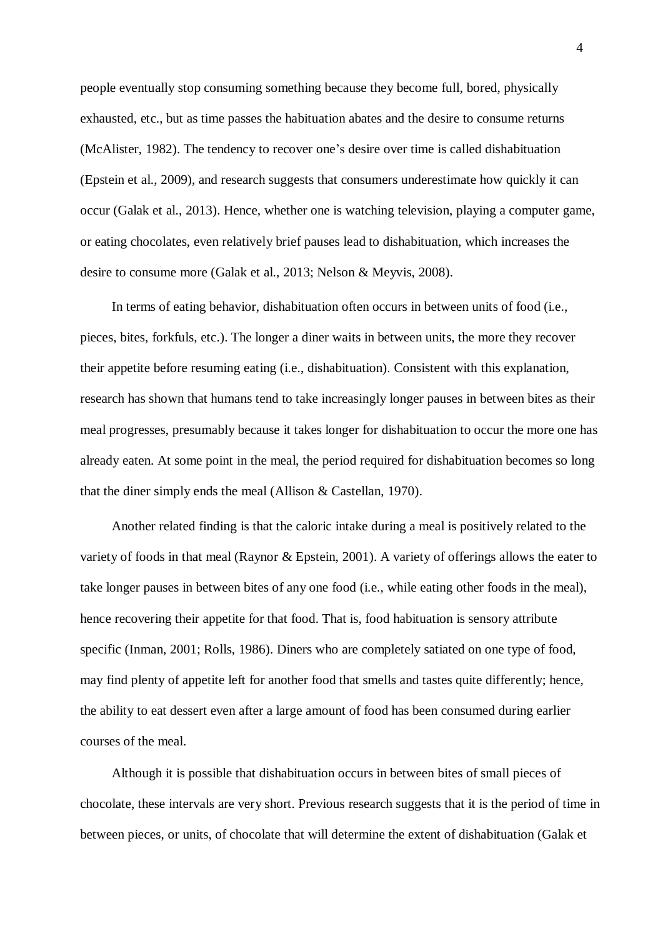people eventually stop consuming something because they become full, bored, physically exhausted, etc., but as time passes the habituation abates and the desire to consume returns (McAlister, 1982). The tendency to recover one's desire over time is called dishabituation (Epstein et al., 2009), and research suggests that consumers underestimate how quickly it can occur (Galak et al., 2013). Hence, whether one is watching television, playing a computer game, or eating chocolates, even relatively brief pauses lead to dishabituation, which increases the desire to consume more (Galak et al., 2013; Nelson & Meyvis, 2008).

In terms of eating behavior, dishabituation often occurs in between units of food (i.e., pieces, bites, forkfuls, etc.). The longer a diner waits in between units, the more they recover their appetite before resuming eating (i.e., dishabituation). Consistent with this explanation, research has shown that humans tend to take increasingly longer pauses in between bites as their meal progresses, presumably because it takes longer for dishabituation to occur the more one has already eaten. At some point in the meal, the period required for dishabituation becomes so long that the diner simply ends the meal (Allison & Castellan, 1970).

Another related finding is that the caloric intake during a meal is positively related to the variety of foods in that meal (Raynor & Epstein, 2001). A variety of offerings allows the eater to take longer pauses in between bites of any one food (i.e., while eating other foods in the meal), hence recovering their appetite for that food. That is, food habituation is sensory attribute specific (Inman, 2001; Rolls, 1986). Diners who are completely satiated on one type of food, may find plenty of appetite left for another food that smells and tastes quite differently; hence, the ability to eat dessert even after a large amount of food has been consumed during earlier courses of the meal.

Although it is possible that dishabituation occurs in between bites of small pieces of chocolate, these intervals are very short. Previous research suggests that it is the period of time in between pieces, or units, of chocolate that will determine the extent of dishabituation (Galak et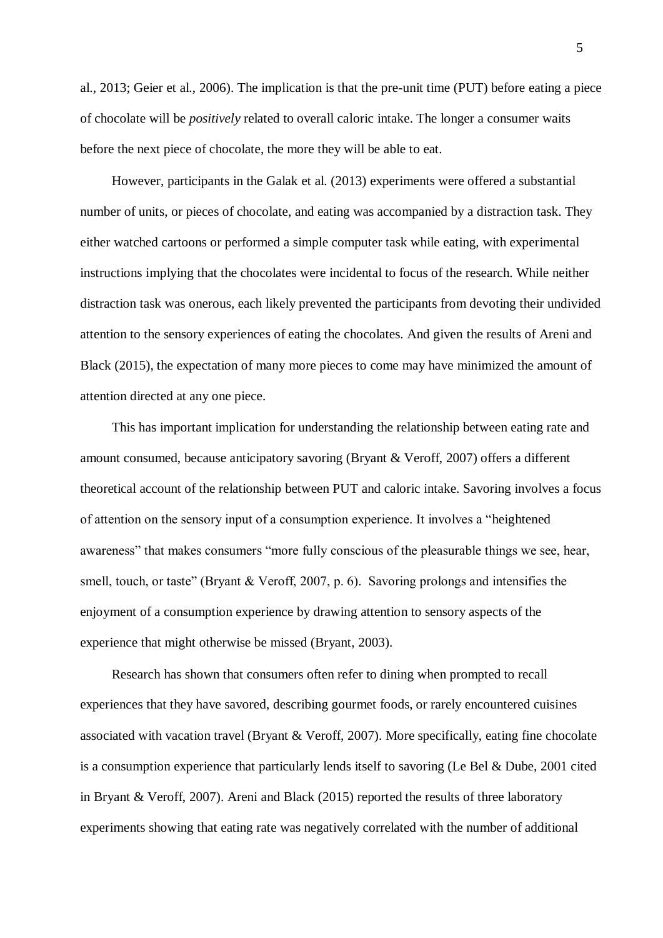al., 2013; Geier et al., 2006). The implication is that the pre-unit time (PUT) before eating a piece of chocolate will be *positively* related to overall caloric intake. The longer a consumer waits before the next piece of chocolate, the more they will be able to eat.

However, participants in the Galak et al. (2013) experiments were offered a substantial number of units, or pieces of chocolate, and eating was accompanied by a distraction task. They either watched cartoons or performed a simple computer task while eating, with experimental instructions implying that the chocolates were incidental to focus of the research. While neither distraction task was onerous, each likely prevented the participants from devoting their undivided attention to the sensory experiences of eating the chocolates. And given the results of Areni and Black (2015), the expectation of many more pieces to come may have minimized the amount of attention directed at any one piece.

This has important implication for understanding the relationship between eating rate and amount consumed, because anticipatory savoring (Bryant & Veroff, 2007) offers a different theoretical account of the relationship between PUT and caloric intake. Savoring involves a focus of attention on the sensory input of a consumption experience. It involves a "heightened awareness" that makes consumers "more fully conscious of the pleasurable things we see, hear, smell, touch, or taste" (Bryant & Veroff, 2007, p. 6). Savoring prolongs and intensifies the enjoyment of a consumption experience by drawing attention to sensory aspects of the experience that might otherwise be missed (Bryant, 2003).

Research has shown that consumers often refer to dining when prompted to recall experiences that they have savored, describing gourmet foods, or rarely encountered cuisines associated with vacation travel (Bryant & Veroff, 2007). More specifically, eating fine chocolate is a consumption experience that particularly lends itself to savoring (Le Bel & Dube, 2001 cited in Bryant & Veroff, 2007). Areni and Black (2015) reported the results of three laboratory experiments showing that eating rate was negatively correlated with the number of additional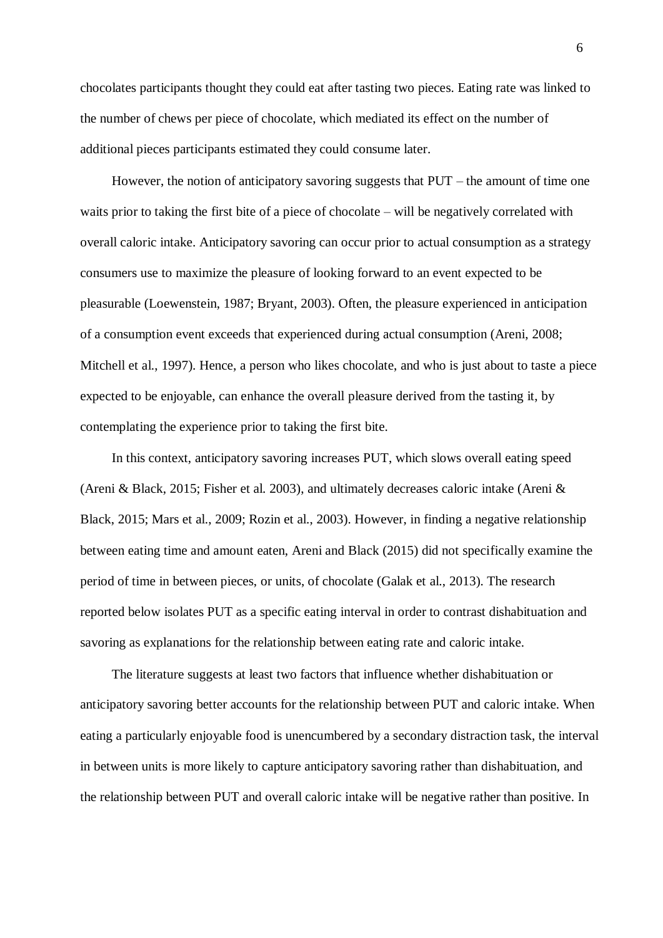chocolates participants thought they could eat after tasting two pieces. Eating rate was linked to the number of chews per piece of chocolate, which mediated its effect on the number of additional pieces participants estimated they could consume later.

However, the notion of anticipatory savoring suggests that PUT – the amount of time one waits prior to taking the first bite of a piece of chocolate – will be negatively correlated with overall caloric intake. Anticipatory savoring can occur prior to actual consumption as a strategy consumers use to maximize the pleasure of looking forward to an event expected to be pleasurable (Loewenstein, 1987; Bryant, 2003). Often, the pleasure experienced in anticipation of a consumption event exceeds that experienced during actual consumption (Areni, 2008; Mitchell et al., 1997). Hence, a person who likes chocolate, and who is just about to taste a piece expected to be enjoyable, can enhance the overall pleasure derived from the tasting it, by contemplating the experience prior to taking the first bite.

In this context, anticipatory savoring increases PUT, which slows overall eating speed (Areni & Black, 2015; Fisher et al. 2003), and ultimately decreases caloric intake (Areni & Black, 2015; Mars et al., 2009; Rozin et al., 2003). However, in finding a negative relationship between eating time and amount eaten, Areni and Black (2015) did not specifically examine the period of time in between pieces, or units, of chocolate (Galak et al., 2013). The research reported below isolates PUT as a specific eating interval in order to contrast dishabituation and savoring as explanations for the relationship between eating rate and caloric intake.

The literature suggests at least two factors that influence whether dishabituation or anticipatory savoring better accounts for the relationship between PUT and caloric intake. When eating a particularly enjoyable food is unencumbered by a secondary distraction task, the interval in between units is more likely to capture anticipatory savoring rather than dishabituation, and the relationship between PUT and overall caloric intake will be negative rather than positive. In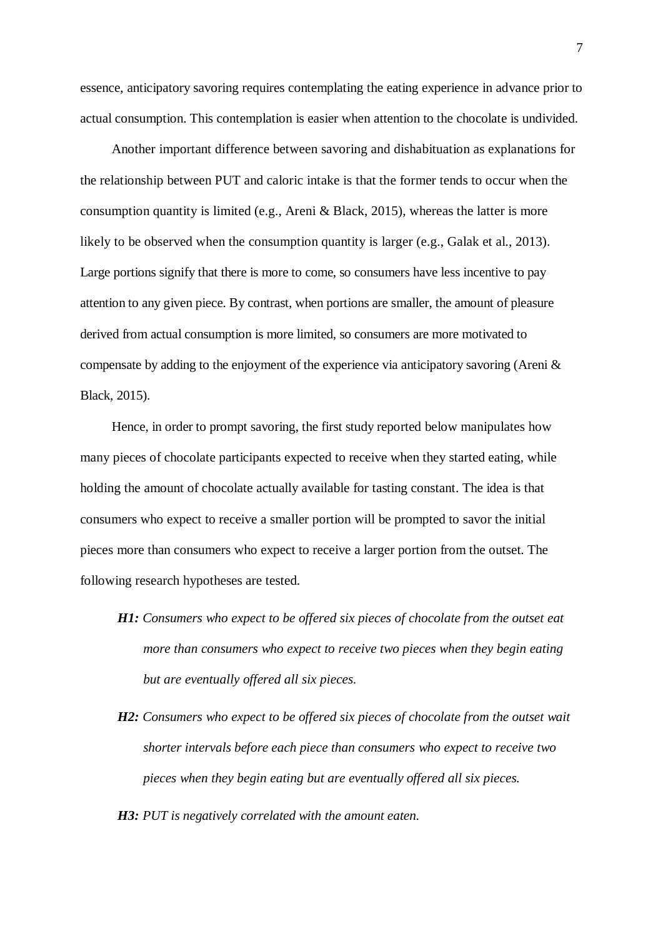essence, anticipatory savoring requires contemplating the eating experience in advance prior to actual consumption. This contemplation is easier when attention to the chocolate is undivided.

Another important difference between savoring and dishabituation as explanations for the relationship between PUT and caloric intake is that the former tends to occur when the consumption quantity is limited (e.g., Areni & Black, 2015), whereas the latter is more likely to be observed when the consumption quantity is larger (e.g., Galak et al., 2013). Large portions signify that there is more to come, so consumers have less incentive to pay attention to any given piece. By contrast, when portions are smaller, the amount of pleasure derived from actual consumption is more limited, so consumers are more motivated to compensate by adding to the enjoyment of the experience via anticipatory savoring (Areni & Black, 2015).

Hence, in order to prompt savoring, the first study reported below manipulates how many pieces of chocolate participants expected to receive when they started eating, while holding the amount of chocolate actually available for tasting constant. The idea is that consumers who expect to receive a smaller portion will be prompted to savor the initial pieces more than consumers who expect to receive a larger portion from the outset. The following research hypotheses are tested.

- *H1: Consumers who expect to be offered six pieces of chocolate from the outset eat more than consumers who expect to receive two pieces when they begin eating but are eventually offered all six pieces.*
- *H2: Consumers who expect to be offered six pieces of chocolate from the outset wait shorter intervals before each piece than consumers who expect to receive two pieces when they begin eating but are eventually offered all six pieces.*

*H3: PUT is negatively correlated with the amount eaten.*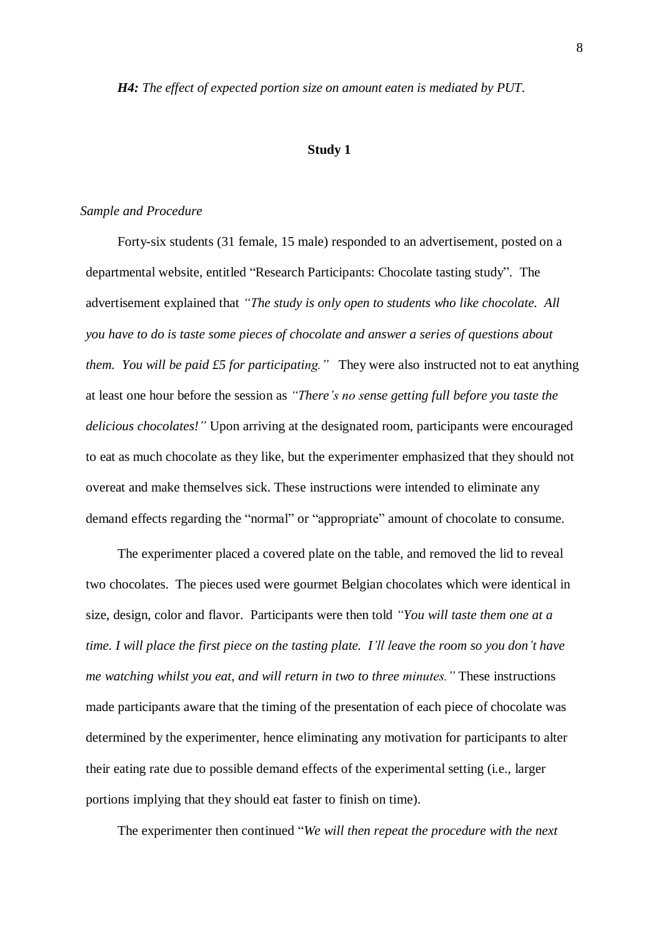*H4: The effect of expected portion size on amount eaten is mediated by PUT.*

#### **Study 1**

#### *Sample and Procedure*

Forty-six students (31 female, 15 male) responded to an advertisement, posted on a departmental website, entitled "Research Participants: Chocolate tasting study". The advertisement explained that *"The study is only open to students who like chocolate. All you have to do is taste some pieces of chocolate and answer a series of questions about them. You will be paid £5 for participating."* They were also instructed not to eat anything at least one hour before the session as *"There's no sense getting full before you taste the delicious chocolates!"* Upon arriving at the designated room, participants were encouraged to eat as much chocolate as they like, but the experimenter emphasized that they should not overeat and make themselves sick. These instructions were intended to eliminate any demand effects regarding the "normal" or "appropriate" amount of chocolate to consume.

The experimenter placed a covered plate on the table, and removed the lid to reveal two chocolates. The pieces used were gourmet Belgian chocolates which were identical in size, design, color and flavor. Participants were then told *"You will taste them one at a time. I will place the first piece on the tasting plate. I'll leave the room so you don't have me watching whilst you eat, and will return in two to three minutes."* These instructions made participants aware that the timing of the presentation of each piece of chocolate was determined by the experimenter, hence eliminating any motivation for participants to alter their eating rate due to possible demand effects of the experimental setting (i.e., larger portions implying that they should eat faster to finish on time).

The experimenter then continued "*We will then repeat the procedure with the next*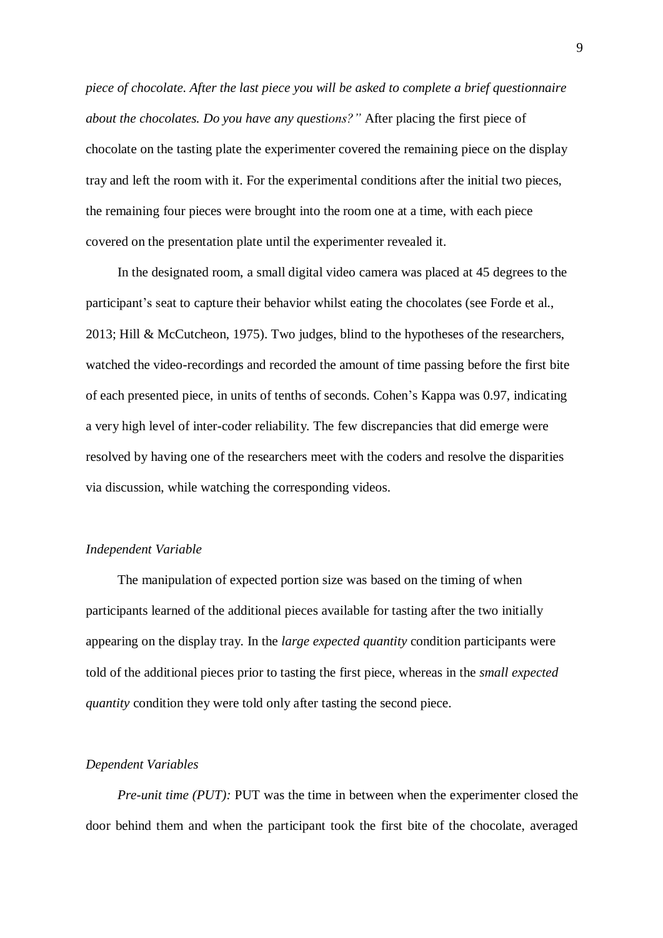*piece of chocolate. After the last piece you will be asked to complete a brief questionnaire about the chocolates. Do you have any questions?"* After placing the first piece of chocolate on the tasting plate the experimenter covered the remaining piece on the display tray and left the room with it. For the experimental conditions after the initial two pieces, the remaining four pieces were brought into the room one at a time, with each piece covered on the presentation plate until the experimenter revealed it.

In the designated room, a small digital video camera was placed at 45 degrees to the participant's seat to capture their behavior whilst eating the chocolates (see Forde et al., 2013; Hill & McCutcheon, 1975). Two judges, blind to the hypotheses of the researchers, watched the video-recordings and recorded the amount of time passing before the first bite of each presented piece, in units of tenths of seconds. Cohen's Kappa was 0.97, indicating a very high level of inter-coder reliability. The few discrepancies that did emerge were resolved by having one of the researchers meet with the coders and resolve the disparities via discussion, while watching the corresponding videos.

#### *Independent Variable*

The manipulation of expected portion size was based on the timing of when participants learned of the additional pieces available for tasting after the two initially appearing on the display tray. In the *large expected quantity* condition participants were told of the additional pieces prior to tasting the first piece, whereas in the *small expected quantity* condition they were told only after tasting the second piece.

### *Dependent Variables*

*Pre-unit time (PUT):* PUT was the time in between when the experimenter closed the door behind them and when the participant took the first bite of the chocolate, averaged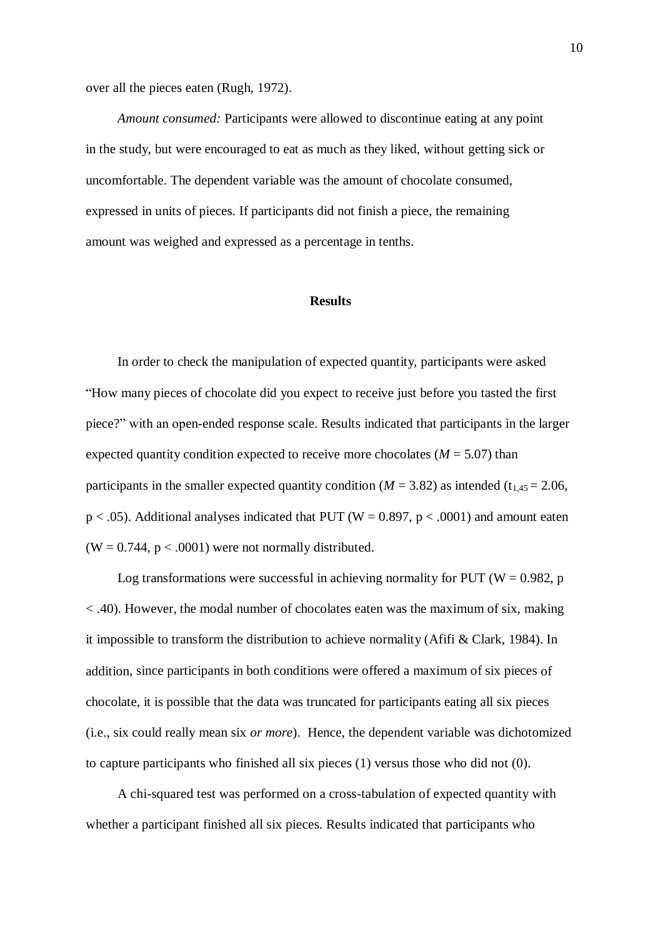over all the pieces eaten (Rugh, 1972).

*Amount consumed:* Participants were allowed to discontinue eating at any point in the study, but were encouraged to eat as much as they liked, without getting sick or uncomfortable. The dependent variable was the amount of chocolate consumed, expressed in units of pieces. If participants did not finish a piece, the remaining amount was weighed and expressed as a percentage in tenths.

#### **Results**

In order to check the manipulation of expected quantity, participants were asked "How many pieces of chocolate did you expect to receive just before you tasted the first piece?" with an open-ended response scale. Results indicated that participants in the larger expected quantity condition expected to receive more chocolates ( $M = 5.07$ ) than participants in the smaller expected quantity condition ( $M = 3.82$ ) as intended (t<sub>1,45</sub> = 2.06,  $p < .05$ ). Additional analyses indicated that PUT (W = 0.897,  $p < .0001$ ) and amount eaten  $(W = 0.744, p < .0001)$  were not normally distributed.

Log transformations were successful in achieving normality for PUT ( $W = 0.982$ , p  $<$  .40). However, the modal number of chocolates eaten was the maximum of six, making it impossible to transform the distribution to achieve normality (Afifi & Clark, 1984). In addition, since participants in both conditions were offered a maximum of six pieces of chocolate, it is possible that the data was truncated for participants eating all six pieces (i.e., six could really mean six *or more*). Hence, the dependent variable was dichotomized to capture participants who finished all six pieces (1) versus those who did not (0).

A chi-squared test was performed on a cross-tabulation of expected quantity with whether a participant finished all six pieces. Results indicated that participants who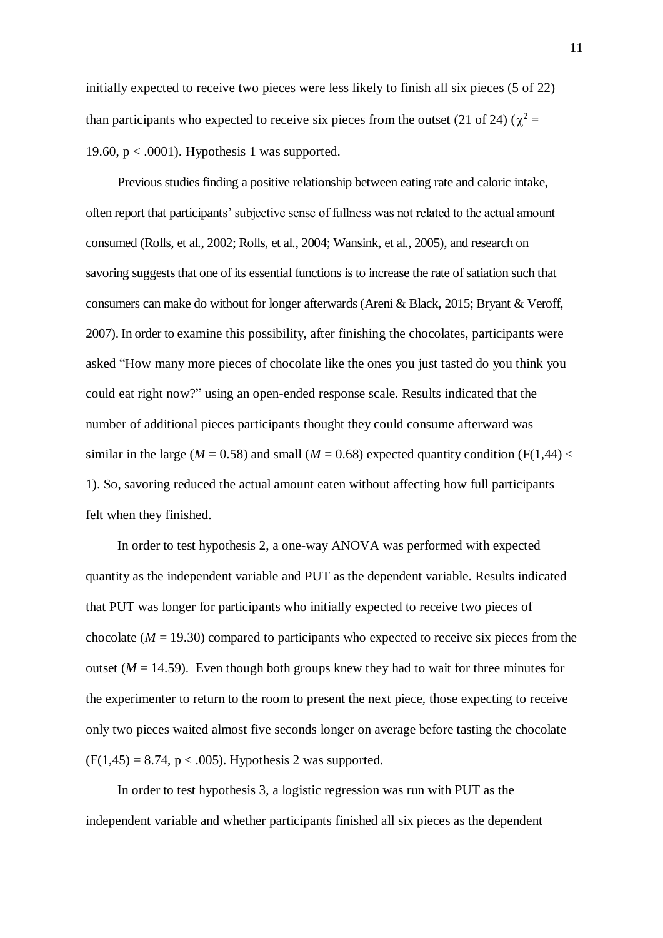initially expected to receive two pieces were less likely to finish all six pieces (5 of 22) than participants who expected to receive six pieces from the outset (21 of 24) ( $\chi^2$  = 19.60,  $p < .0001$ ). Hypothesis 1 was supported.

Previous studies finding a positive relationship between eating rate and caloric intake, often report that participants' subjective sense of fullness was not related to the actual amount consumed (Rolls, et al., 2002; Rolls, et al., 2004; Wansink, et al., 2005), and research on savoring suggests that one of its essential functions is to increase the rate of satiation such that consumers can make do without for longer afterwards (Areni & Black, 2015; Bryant & Veroff, 2007). In order to examine this possibility, after finishing the chocolates, participants were asked "How many more pieces of chocolate like the ones you just tasted do you think you could eat right now?" using an open-ended response scale. Results indicated that the number of additional pieces participants thought they could consume afterward was similar in the large ( $M = 0.58$ ) and small ( $M = 0.68$ ) expected quantity condition (F(1,44) < 1). So, savoring reduced the actual amount eaten without affecting how full participants felt when they finished.

In order to test hypothesis 2, a one-way ANOVA was performed with expected quantity as the independent variable and PUT as the dependent variable. Results indicated that PUT was longer for participants who initially expected to receive two pieces of chocolate  $(M = 19.30)$  compared to participants who expected to receive six pieces from the outset ( $M = 14.59$ ). Even though both groups knew they had to wait for three minutes for the experimenter to return to the room to present the next piece, those expecting to receive only two pieces waited almost five seconds longer on average before tasting the chocolate  $(F(1, 45) = 8.74, p < .005)$ . Hypothesis 2 was supported.

In order to test hypothesis 3, a logistic regression was run with PUT as the independent variable and whether participants finished all six pieces as the dependent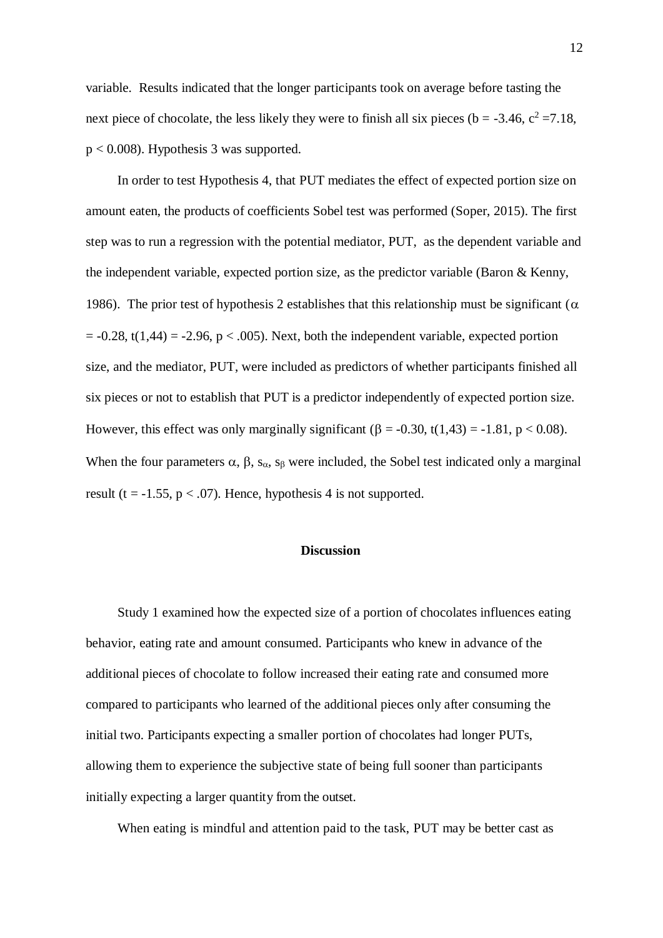variable. Results indicated that the longer participants took on average before tasting the next piece of chocolate, the less likely they were to finish all six pieces ( $b = -3.46$ ,  $c^2 = 7.18$ , p < 0.008). Hypothesis 3 was supported.

In order to test Hypothesis 4, that PUT mediates the effect of expected portion size on amount eaten, the products of coefficients Sobel test was performed (Soper, 2015). The first step was to run a regression with the potential mediator, PUT, as the dependent variable and the independent variable, expected portion size, as the predictor variable (Baron & Kenny, 1986). The prior test of hypothesis 2 establishes that this relationship must be significant ( $\alpha$ )  $= -0.28$ , t(1,44) =  $-2.96$ , p < .005). Next, both the independent variable, expected portion size, and the mediator, PUT, were included as predictors of whether participants finished all six pieces or not to establish that PUT is a predictor independently of expected portion size. However, this effect was only marginally significant ( $\beta$  = -0.30, t(1,43) = -1.81, p < 0.08). When the four parameters  $\alpha$ ,  $\beta$ ,  $s_{\alpha}$ ,  $s_{\beta}$  were included, the Sobel test indicated only a marginal result (t =  $-1.55$ , p < .07). Hence, hypothesis 4 is not supported.

#### **Discussion**

Study 1 examined how the expected size of a portion of chocolates influences eating behavior, eating rate and amount consumed. Participants who knew in advance of the additional pieces of chocolate to follow increased their eating rate and consumed more compared to participants who learned of the additional pieces only after consuming the initial two. Participants expecting a smaller portion of chocolates had longer PUTs, allowing them to experience the subjective state of being full sooner than participants initially expecting a larger quantity from the outset.

When eating is mindful and attention paid to the task, PUT may be better cast as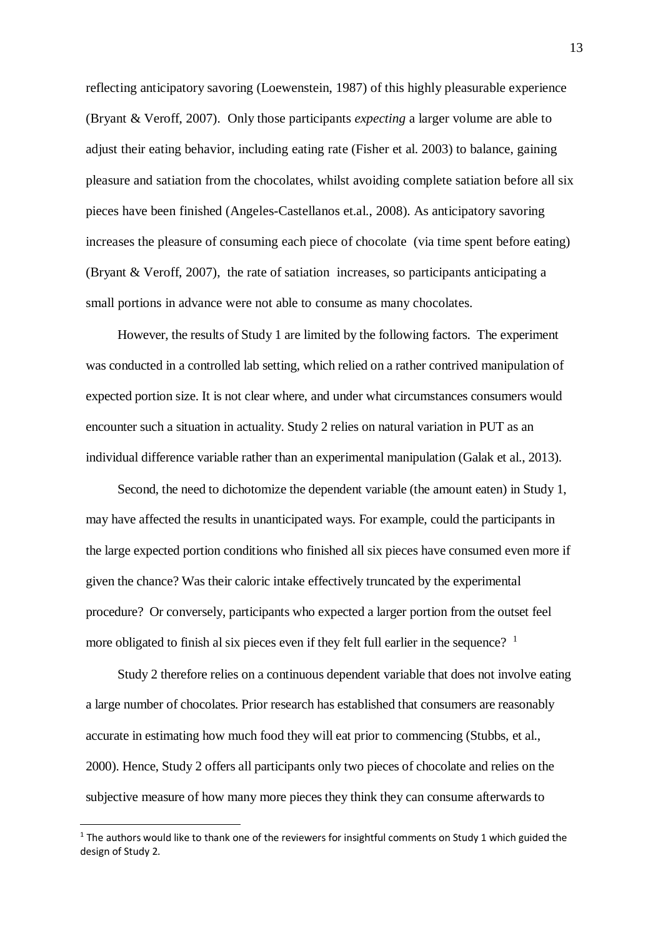reflecting anticipatory savoring (Loewenstein, 1987) of this highly pleasurable experience (Bryant & Veroff, 2007). Only those participants *expecting* a larger volume are able to adjust their eating behavior, including eating rate (Fisher et al. 2003) to balance, gaining pleasure and satiation from the chocolates, whilst avoiding complete satiation before all six pieces have been finished (Angeles-Castellanos et.al., 2008). As anticipatory savoring increases the pleasure of consuming each piece of chocolate (via time spent before eating) (Bryant & Veroff, 2007), the rate of satiation increases, so participants anticipating a small portions in advance were not able to consume as many chocolates.

However, the results of Study 1 are limited by the following factors. The experiment was conducted in a controlled lab setting, which relied on a rather contrived manipulation of expected portion size. It is not clear where, and under what circumstances consumers would encounter such a situation in actuality. Study 2 relies on natural variation in PUT as an individual difference variable rather than an experimental manipulation (Galak et al., 2013).

Second, the need to dichotomize the dependent variable (the amount eaten) in Study 1, may have affected the results in unanticipated ways. For example, could the participants in the large expected portion conditions who finished all six pieces have consumed even more if given the chance? Was their caloric intake effectively truncated by the experimental procedure? Or conversely, participants who expected a larger portion from the outset feel more obligated to finish al six pieces even if they felt full earlier in the sequence?  $1$ 

Study 2 therefore relies on a continuous dependent variable that does not involve eating a large number of chocolates. Prior research has established that consumers are reasonably accurate in estimating how much food they will eat prior to commencing (Stubbs, et al., 2000). Hence, Study 2 offers all participants only two pieces of chocolate and relies on the subjective measure of how many more pieces they think they can consume afterwards to

1

 $1$  The authors would like to thank one of the reviewers for insightful comments on Study 1 which guided the design of Study 2.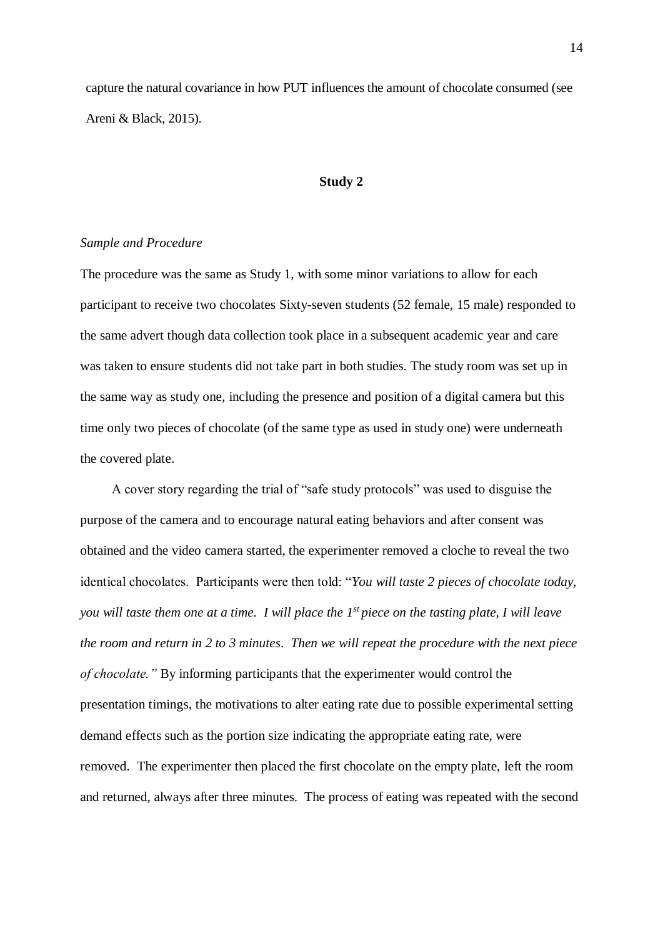capture the natural covariance in how PUT influences the amount of chocolate consumed (see Areni & Black, 2015).

#### **Study 2**

## *Sample and Procedure*

The procedure was the same as Study 1, with some minor variations to allow for each participant to receive two chocolates Sixty-seven students (52 female, 15 male) responded to the same advert though data collection took place in a subsequent academic year and care was taken to ensure students did not take part in both studies. The study room was set up in the same way as study one, including the presence and position of a digital camera but this time only two pieces of chocolate (of the same type as used in study one) were underneath the covered plate.

A cover story regarding the trial of "safe study protocols" was used to disguise the purpose of the camera and to encourage natural eating behaviors and after consent was obtained and the video camera started, the experimenter removed a cloche to reveal the two identical chocolates. Participants were then told: "*You will taste 2 pieces of chocolate today, you will taste them one at a time. I will place the 1<sup>st</sup> piece on the tasting plate, I will leave the room and return in 2 to 3 minutes*. *Then we will repeat the procedure with the next piece of chocolate."* By informing participants that the experimenter would control the presentation timings, the motivations to alter eating rate due to possible experimental setting demand effects such as the portion size indicating the appropriate eating rate, were removed. The experimenter then placed the first chocolate on the empty plate, left the room and returned, always after three minutes. The process of eating was repeated with the second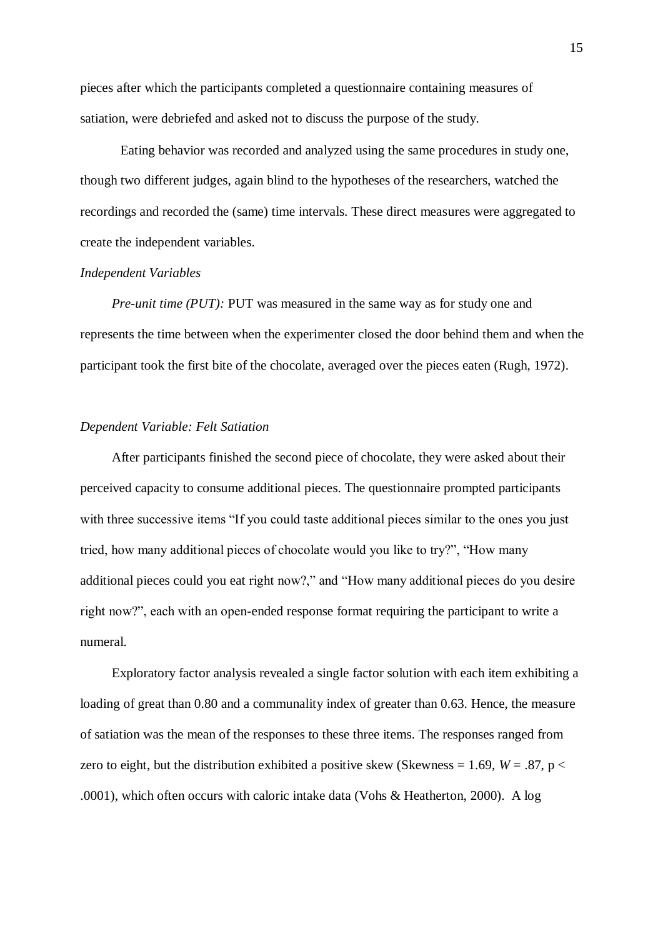pieces after which the participants completed a questionnaire containing measures of satiation, were debriefed and asked not to discuss the purpose of the study.

Eating behavior was recorded and analyzed using the same procedures in study one, though two different judges, again blind to the hypotheses of the researchers, watched the recordings and recorded the (same) time intervals. These direct measures were aggregated to create the independent variables.

#### *Independent Variables*

*Pre-unit time (PUT):* PUT was measured in the same way as for study one and represents the time between when the experimenter closed the door behind them and when the participant took the first bite of the chocolate, averaged over the pieces eaten (Rugh, 1972).

### *Dependent Variable: Felt Satiation*

After participants finished the second piece of chocolate, they were asked about their perceived capacity to consume additional pieces. The questionnaire prompted participants with three successive items "If you could taste additional pieces similar to the ones you just tried, how many additional pieces of chocolate would you like to try?", "How many additional pieces could you eat right now?," and "How many additional pieces do you desire right now?", each with an open-ended response format requiring the participant to write a numeral.

Exploratory factor analysis revealed a single factor solution with each item exhibiting a loading of great than 0.80 and a communality index of greater than 0.63. Hence, the measure of satiation was the mean of the responses to these three items. The responses ranged from zero to eight, but the distribution exhibited a positive skew (Skewness = 1.69,  $W = .87$ ,  $p <$ .0001), which often occurs with caloric intake data (Vohs & Heatherton, 2000). A log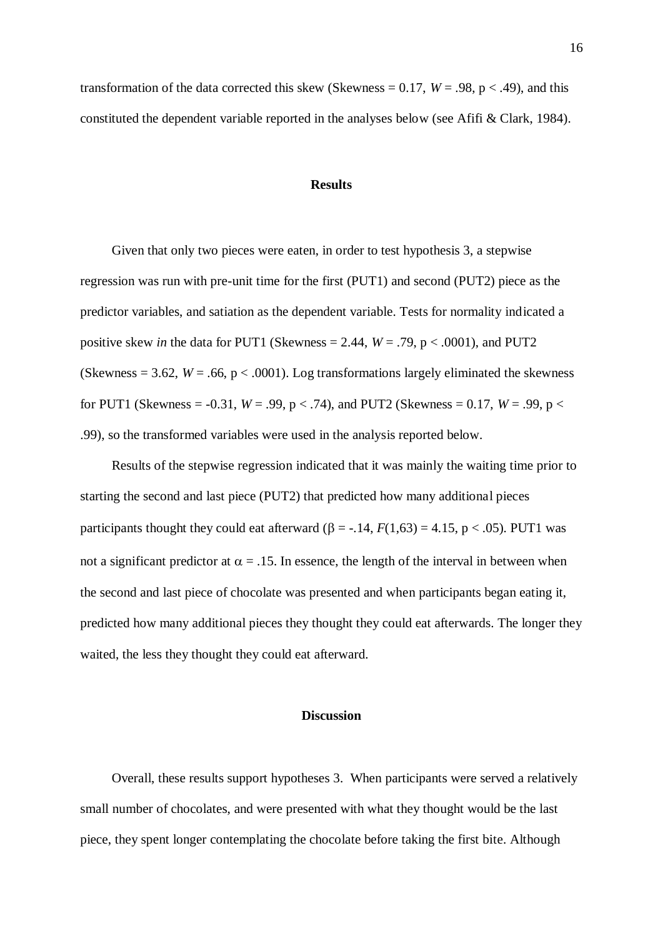transformation of the data corrected this skew (Skewness =  $0.17$ ,  $W = .98$ ,  $p < .49$ ), and this constituted the dependent variable reported in the analyses below (see Afifi & Clark, 1984).

#### **Results**

Given that only two pieces were eaten, in order to test hypothesis 3, a stepwise regression was run with pre-unit time for the first (PUT1) and second (PUT2) piece as the predictor variables, and satiation as the dependent variable. Tests for normality indicated a positive skew *in* the data for PUT1 (Skewness = 2.44,  $W = .79$ ,  $p < .0001$ ), and PUT2 (Skewness = 3.62,  $W = .66$ ,  $p < .0001$ ). Log transformations largely eliminated the skewness for PUT1 (Skewness = -0.31,  $W = .99$ ,  $p < .74$ ), and PUT2 (Skewness = 0.17,  $W = .99$ ,  $p <$ .99), so the transformed variables were used in the analysis reported below.

Results of the stepwise regression indicated that it was mainly the waiting time prior to starting the second and last piece (PUT2) that predicted how many additional pieces participants thought they could eat afterward  $(\beta = -14, F(1,63) = 4.15, p < .05)$ . PUT1 was not a significant predictor at  $\alpha = .15$ . In essence, the length of the interval in between when the second and last piece of chocolate was presented and when participants began eating it, predicted how many additional pieces they thought they could eat afterwards. The longer they waited, the less they thought they could eat afterward.

## **Discussion**

Overall, these results support hypotheses 3. When participants were served a relatively small number of chocolates, and were presented with what they thought would be the last piece, they spent longer contemplating the chocolate before taking the first bite. Although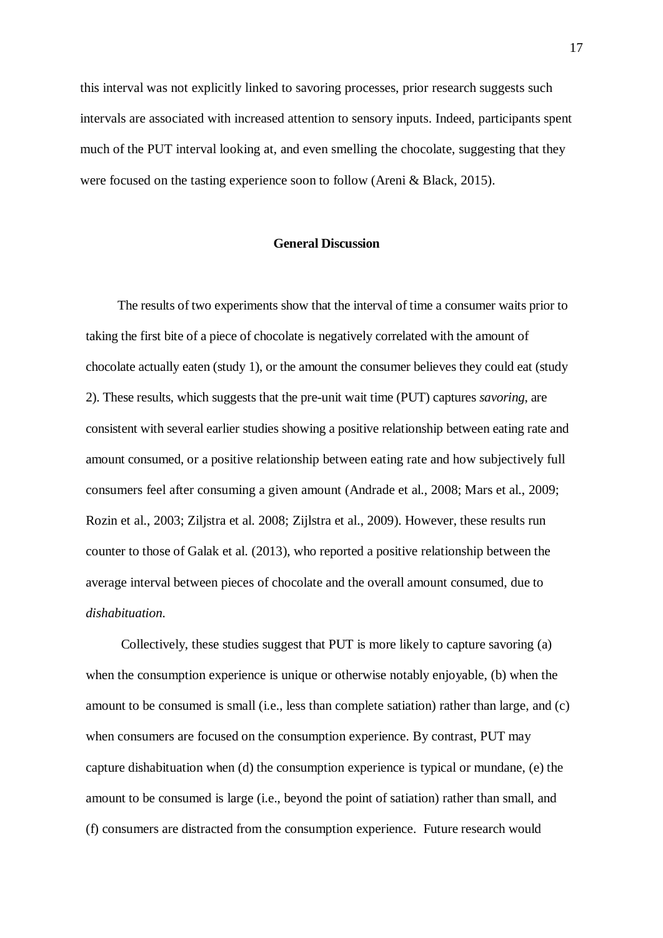this interval was not explicitly linked to savoring processes, prior research suggests such intervals are associated with increased attention to sensory inputs. Indeed, participants spent much of the PUT interval looking at, and even smelling the chocolate, suggesting that they were focused on the tasting experience soon to follow (Areni & Black, 2015).

#### **General Discussion**

The results of two experiments show that the interval of time a consumer waits prior to taking the first bite of a piece of chocolate is negatively correlated with the amount of chocolate actually eaten (study 1), or the amount the consumer believes they could eat (study 2). These results, which suggests that the pre-unit wait time (PUT) captures *savoring*, are consistent with several earlier studies showing a positive relationship between eating rate and amount consumed, or a positive relationship between eating rate and how subjectively full consumers feel after consuming a given amount (Andrade et al., 2008; Mars et al., 2009; Rozin et al., 2003; Ziljstra et al. 2008; Zijlstra et al., 2009). However, these results run counter to those of Galak et al. (2013), who reported a positive relationship between the average interval between pieces of chocolate and the overall amount consumed, due to *dishabituation*.

Collectively, these studies suggest that PUT is more likely to capture savoring (a) when the consumption experience is unique or otherwise notably enjoyable, (b) when the amount to be consumed is small (i.e., less than complete satiation) rather than large, and (c) when consumers are focused on the consumption experience. By contrast, PUT may capture dishabituation when (d) the consumption experience is typical or mundane, (e) the amount to be consumed is large (i.e., beyond the point of satiation) rather than small, and (f) consumers are distracted from the consumption experience. Future research would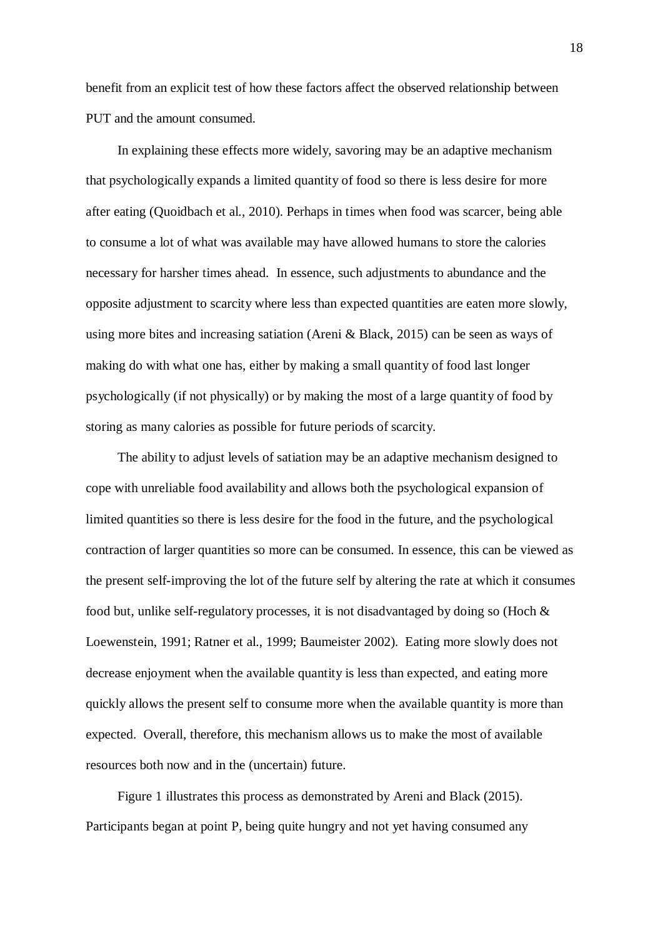benefit from an explicit test of how these factors affect the observed relationship between PUT and the amount consumed.

In explaining these effects more widely, savoring may be an adaptive mechanism that psychologically expands a limited quantity of food so there is less desire for more after eating (Quoidbach et al., 2010). Perhaps in times when food was scarcer, being able to consume a lot of what was available may have allowed humans to store the calories necessary for harsher times ahead. In essence, such adjustments to abundance and the opposite adjustment to scarcity where less than expected quantities are eaten more slowly, using more bites and increasing satiation (Areni & Black, 2015) can be seen as ways of making do with what one has, either by making a small quantity of food last longer psychologically (if not physically) or by making the most of a large quantity of food by storing as many calories as possible for future periods of scarcity.

The ability to adjust levels of satiation may be an adaptive mechanism designed to cope with unreliable food availability and allows both the psychological expansion of limited quantities so there is less desire for the food in the future, and the psychological contraction of larger quantities so more can be consumed. In essence, this can be viewed as the present self-improving the lot of the future self by altering the rate at which it consumes food but, unlike self-regulatory processes, it is not disadvantaged by doing so (Hoch & Loewenstein, 1991; Ratner et al., 1999; Baumeister 2002). Eating more slowly does not decrease enjoyment when the available quantity is less than expected, and eating more quickly allows the present self to consume more when the available quantity is more than expected. Overall, therefore, this mechanism allows us to make the most of available resources both now and in the (uncertain) future.

Figure 1 illustrates this process as demonstrated by Areni and Black (2015). Participants began at point P, being quite hungry and not yet having consumed any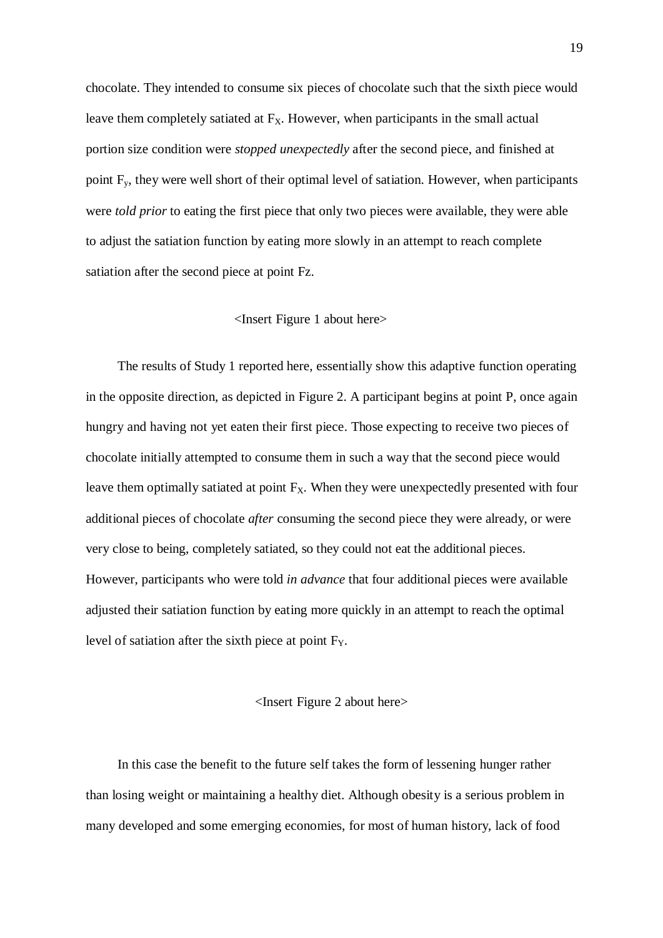chocolate. They intended to consume six pieces of chocolate such that the sixth piece would leave them completely satiated at  $F<sub>X</sub>$ . However, when participants in the small actual portion size condition were *stopped unexpectedly* after the second piece, and finished at point  $F_y$ , they were well short of their optimal level of satiation. However, when participants were *told prior* to eating the first piece that only two pieces were available, they were able to adjust the satiation function by eating more slowly in an attempt to reach complete satiation after the second piece at point Fz.

#### <Insert Figure 1 about here>

The results of Study 1 reported here, essentially show this adaptive function operating in the opposite direction, as depicted in Figure 2. A participant begins at point P, once again hungry and having not yet eaten their first piece. Those expecting to receive two pieces of chocolate initially attempted to consume them in such a way that the second piece would leave them optimally satiated at point  $F_X$ . When they were unexpectedly presented with four additional pieces of chocolate *after* consuming the second piece they were already, or were very close to being, completely satiated, so they could not eat the additional pieces. However, participants who were told *in advance* that four additional pieces were available adjusted their satiation function by eating more quickly in an attempt to reach the optimal level of satiation after the sixth piece at point  $F_Y$ .

## <Insert Figure 2 about here>

In this case the benefit to the future self takes the form of lessening hunger rather than losing weight or maintaining a healthy diet. Although obesity is a serious problem in many developed and some emerging economies, for most of human history, lack of food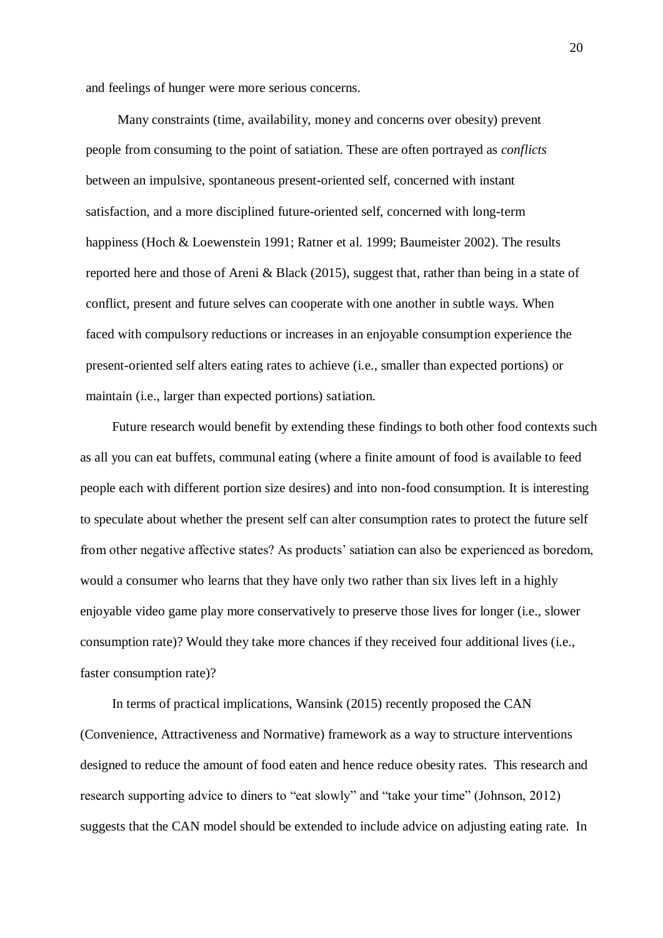and feelings of hunger were more serious concerns.

Many constraints (time, availability, money and concerns over obesity) prevent people from consuming to the point of satiation. These are often portrayed as *conflicts* between an impulsive, spontaneous present-oriented self, concerned with instant satisfaction, and a more disciplined future-oriented self, concerned with long-term happiness (Hoch & Loewenstein 1991; Ratner et al. 1999; Baumeister 2002). The results reported here and those of Areni & Black (2015), suggest that, rather than being in a state of conflict, present and future selves can cooperate with one another in subtle ways. When faced with compulsory reductions or increases in an enjoyable consumption experience the present-oriented self alters eating rates to achieve (i.e., smaller than expected portions) or maintain (i.e., larger than expected portions) satiation.

Future research would benefit by extending these findings to both other food contexts such as all you can eat buffets, communal eating (where a finite amount of food is available to feed people each with different portion size desires) and into non-food consumption. It is interesting to speculate about whether the present self can alter consumption rates to protect the future self from other negative affective states? As products' satiation can also be experienced as boredom, would a consumer who learns that they have only two rather than six lives left in a highly enjoyable video game play more conservatively to preserve those lives for longer (i.e., slower consumption rate)? Would they take more chances if they received four additional lives (i.e., faster consumption rate)?

In terms of practical implications, Wansink (2015) recently proposed the CAN (Convenience, Attractiveness and Normative) framework as a way to structure interventions designed to reduce the amount of food eaten and hence reduce obesity rates. This research and research supporting advice to diners to "eat slowly" and "take your time" (Johnson, 2012) suggests that the CAN model should be extended to include advice on adjusting eating rate. In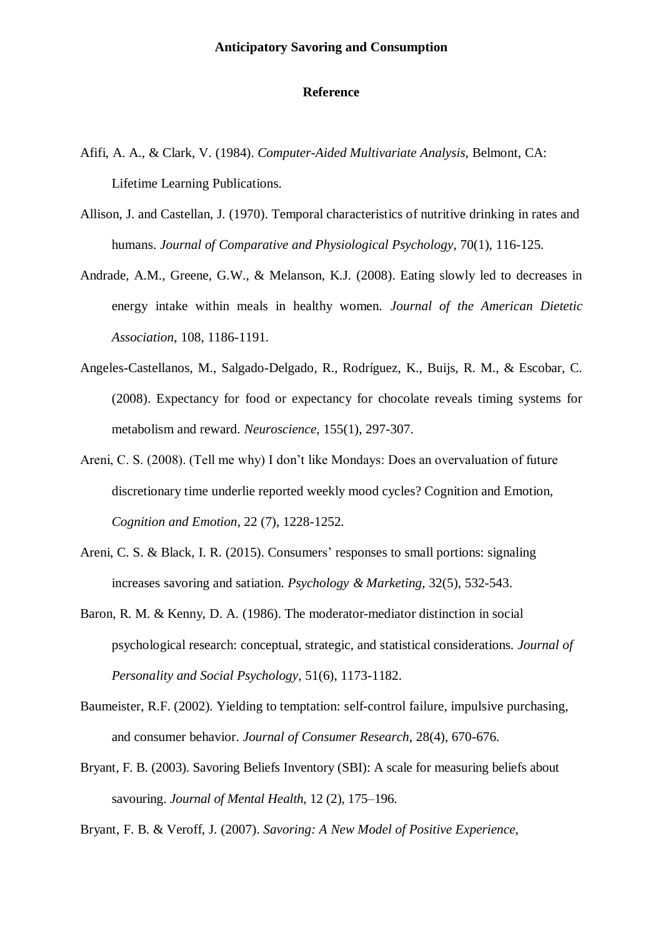## **Reference**

- Afifi, A. A., & Clark, V. (1984). *Computer-Aided Multivariate Analysis*, Belmont, CA: Lifetime Learning Publications.
- Allison, J. and Castellan, J. (1970). Temporal characteristics of nutritive drinking in rates and humans. *Journal of Comparative and Physiological Psychology*, 70(1), 116-125.
- Andrade, A.M., Greene, G.W., & Melanson, K.J. (2008). Eating slowly led to decreases in energy intake within meals in healthy women. *Journal of the American Dietetic Association*, 108, 1186-1191.
- Angeles-Castellanos, M., Salgado-Delgado, R., Rodríguez, K., Buijs, R. M., & Escobar, C. (2008). Expectancy for food or expectancy for chocolate reveals timing systems for metabolism and reward. *Neuroscience*, 155(1), 297-307.
- Areni, C. S. (2008). (Tell me why) I don't like Mondays: Does an overvaluation of future discretionary time underlie reported weekly mood cycles? Cognition and Emotion, *Cognition and Emotion*, 22 (7), 1228-1252.
- Areni, C. S. & Black, I. R. (2015). Consumers' responses to small portions: signaling increases savoring and satiation. *Psychology & Marketing*, 32(5), 532-543.
- Baron, R. M. & Kenny, D. A. (1986). The moderator-mediator distinction in social psychological research: conceptual, strategic, and statistical considerations. *Journal of Personality and Social Psychology*, 51(6), 1173-1182.
- Baumeister, R.F. (2002). Yielding to temptation: self-control failure, impulsive purchasing, and consumer behavior. *Journal of Consumer Research*, 28(4), 670-676.
- Bryant, F. B. (2003). Savoring Beliefs Inventory (SBI): A scale for measuring beliefs about savouring. *Journal of Mental Health*, 12 (2), 175–196.
- Bryant, F. B. & Veroff, J. (2007). *Savoring: A New Model of Positive Experience*,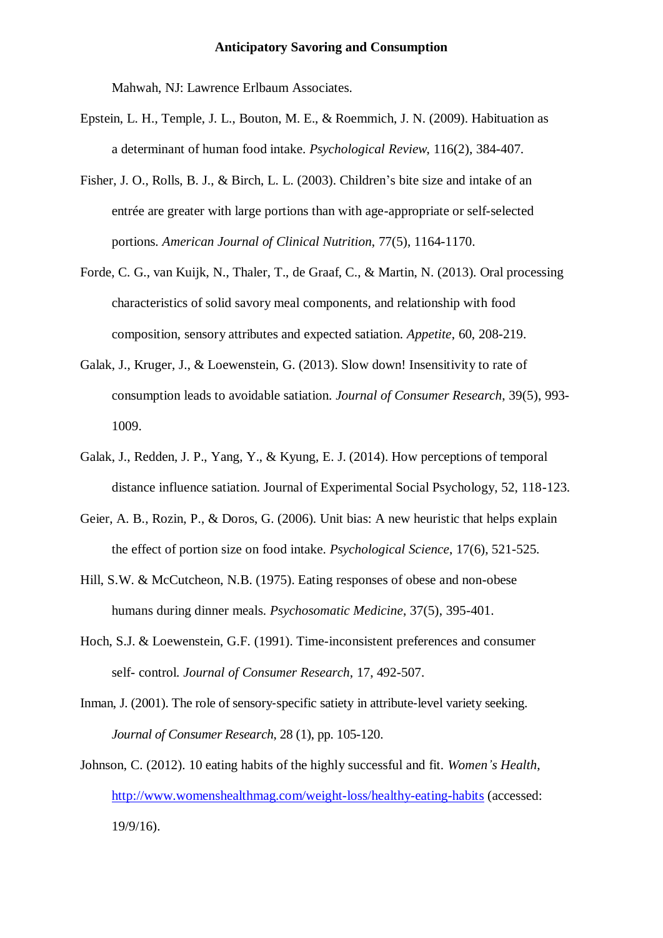Mahwah, NJ: Lawrence Erlbaum Associates.

- Epstein, L. H., Temple, J. L., Bouton, M. E., & Roemmich, J. N. (2009). Habituation as a determinant of human food intake. *Psychological Review*, 116(2), 384-407.
- Fisher, J. O., Rolls, B. J., & Birch, L. L. (2003). Children's bite size and intake of an entrée are greater with large portions than with age-appropriate or self-selected portions. *American Journal of Clinical Nutrition*, 77(5), 1164-1170.
- Forde, C. G., van Kuijk, N., Thaler, T., de Graaf, C., & Martin, N. (2013). Oral processing characteristics of solid savory meal components, and relationship with food composition, sensory attributes and expected satiation. *Appetite*, 60, 208-219.
- Galak, J., Kruger, J., & Loewenstein, G. (2013). Slow down! Insensitivity to rate of consumption leads to avoidable satiation. *Journal of Consumer Research*, 39(5), 993- 1009.
- Galak, J., Redden, J. P., Yang, Y., & Kyung, E. J. (2014). How perceptions of temporal distance influence satiation. Journal of Experimental Social Psychology, 52, 118-123.
- Geier, A. B., Rozin, P., & Doros, G. (2006). Unit bias: A new heuristic that helps explain the effect of portion size on food intake. *Psychological Science*, 17(6), 521-525.
- Hill, S.W. & McCutcheon, N.B. (1975). Eating responses of obese and non-obese humans during dinner meals. *Psychosomatic Medicine*, 37(5), 395-401.
- Hoch, S.J. & Loewenstein, G.F. (1991). Time-inconsistent preferences and consumer self- control. *Journal of Consumer Research*, 17, 492-507.
- Inman, J. (2001). The role of sensory-specific satiety in attribute-level variety seeking. *Journal of Consumer Research*, 28 (1), pp. 105-120.
- Johnson, C. (2012). 10 eating habits of the highly successful and fit. *Women's Health*, <http://www.womenshealthmag.com/weight-loss/healthy-eating-habits> (accessed: 19/9/16).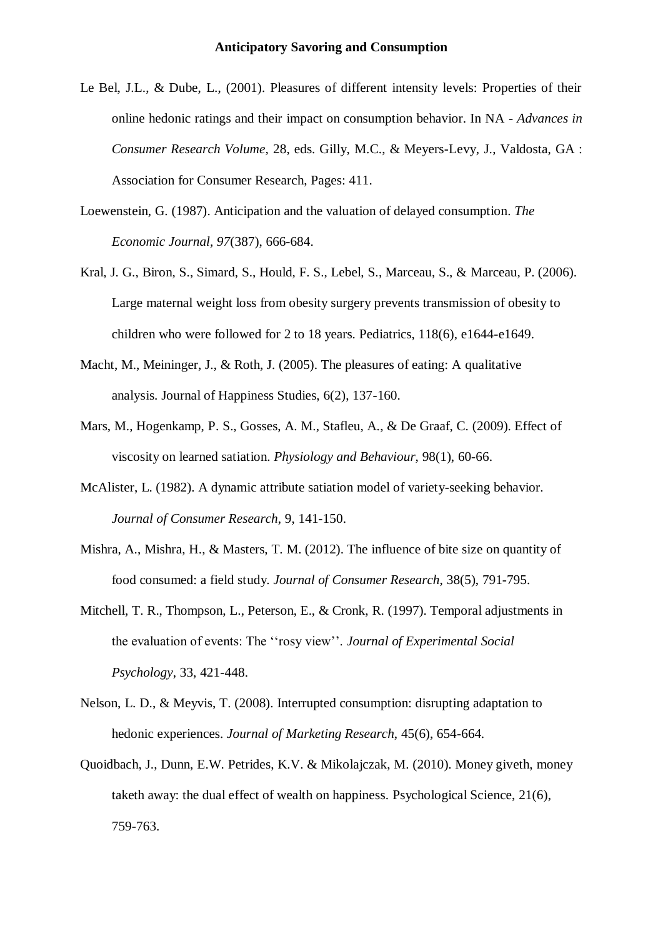- Le Bel, J.L., & Dube, L., (2001). Pleasures of different intensity levels: Properties of their online hedonic ratings and their impact on consumption behavior. In NA *- Advances in Consumer Research Volume,* 28, eds. Gilly, M.C., & Meyers-Levy, J., Valdosta, GA : Association for Consumer Research, Pages: 411.
- Loewenstein, G. (1987). [Anticipation and the valuation of](http://www.cmu.edu/dietrich/sds/docs/loewenstein/AnticipationDelayed.pdf) delayed consumption. *The Economic Journal, 97*(387), 666-684.
- Kral, J. G., Biron, S., Simard, S., Hould, F. S., Lebel, S., Marceau, S., & Marceau, P. (2006). Large maternal weight loss from obesity surgery prevents transmission of obesity to children who were followed for 2 to 18 years. Pediatrics, 118(6), e1644-e1649.
- Macht, M., Meininger, J., & Roth, J. (2005). The pleasures of eating: A qualitative analysis. Journal of Happiness Studies, 6(2), 137-160.
- Mars, M., Hogenkamp, P. S., Gosses, A. M., Stafleu, A., & De Graaf, C. (2009). Effect of viscosity on learned satiation. *Physiology and Behaviour*, 98(1), 60-66.
- McAlister, L. (1982). A dynamic attribute satiation model of variety-seeking behavior. *Journal of Consumer Research*, 9, 141-150.
- Mishra, A., Mishra, H., & Masters, T. M. (2012). The influence of bite size on quantity of food consumed: a field study. *Journal of Consumer Research*, 38(5), 791-795.
- Mitchell, T. R., Thompson, L., Peterson, E., & Cronk, R. (1997). Temporal adjustments in the evaluation of events: The ''rosy view''. *Journal of Experimental Social Psychology*, 33, 421-448.
- Nelson, L. D., & Meyvis, T. (2008). Interrupted consumption: disrupting adaptation to hedonic experiences. *Journal of Marketing Research*, 45(6), 654-664.
- Quoidbach, J., Dunn, E.W. Petrides, K.V. & Mikolajczak, M. (2010). Money giveth, money taketh away: the dual effect of wealth on happiness. Psychological Science, 21(6), 759-763.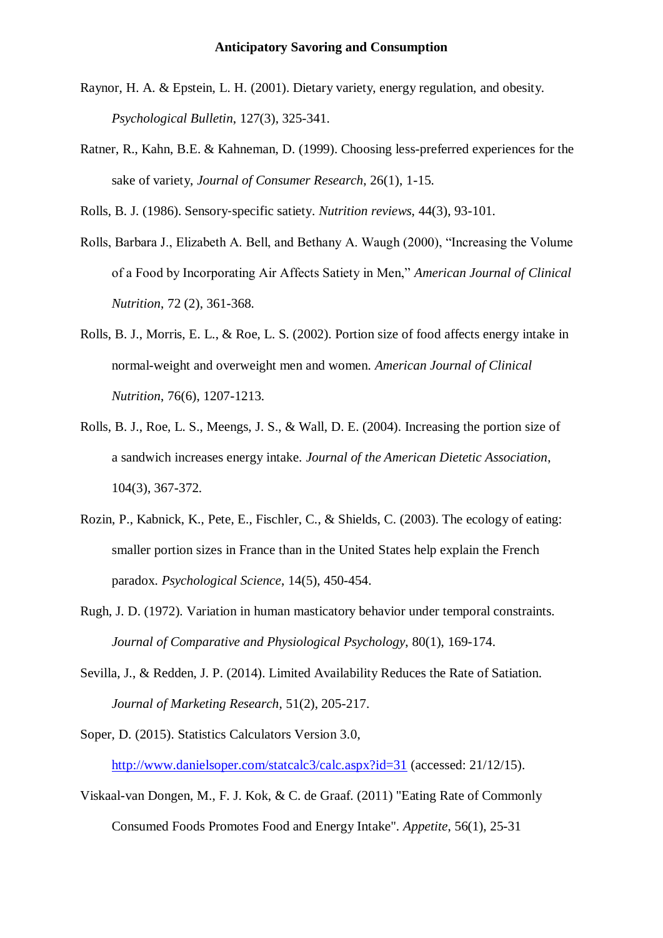- Raynor, H. A. & Epstein, L. H. (2001). Dietary variety, energy regulation, and obesity. *Psychological Bulletin*, 127(3), 325-341.
- Ratner, R., Kahn, B.E. & Kahneman, D. (1999). Choosing less-preferred experiences for the sake of variety, *Journal of Consumer Research*, 26(1), 1-15.

Rolls, B. J. (1986). Sensory‐specific satiety. *Nutrition reviews*, 44(3), 93-101.

- Rolls, Barbara J., Elizabeth A. Bell, and Bethany A. Waugh (2000), "Increasing the Volume of a Food by Incorporating Air Affects Satiety in Men," *American Journal of Clinical Nutrition*, 72 (2), 361-368.
- Rolls, B. J., Morris, E. L., & Roe, L. S. (2002). Portion size of food affects energy intake in normal-weight and overweight men and women. *American Journal of Clinical Nutrition*, 76(6), 1207-1213.
- Rolls, B. J., Roe, L. S., Meengs, J. S., & Wall, D. E. (2004). Increasing the portion size of a sandwich increases energy intake. *Journal of the American Dietetic Association*, 104(3), 367-372.
- Rozin, P., Kabnick, K., Pete, E., Fischler, C., & Shields, C. (2003). The ecology of eating: smaller portion sizes in France than in the United States help explain the French paradox. *Psychological Science*, 14(5), 450-454.
- Rugh, J. D. (1972). Variation in human masticatory behavior under temporal constraints. *Journal of Comparative and Physiological Psychology*, 80(1), 169-174.
- Sevilla, J., & Redden, J. P. (2014). Limited Availability Reduces the Rate of Satiation. *Journal of Marketing Research*, 51(2), 205-217.
- Soper, D. (2015). Statistics Calculators Version 3.0, <http://www.danielsoper.com/statcalc3/calc.aspx?id=31> (accessed: 21/12/15).
- Viskaal-van Dongen, M., F. J. Kok, & C. de Graaf. (2011) "Eating Rate of Commonly Consumed Foods Promotes Food and Energy Intake". *Appetite*, 56(1), 25-31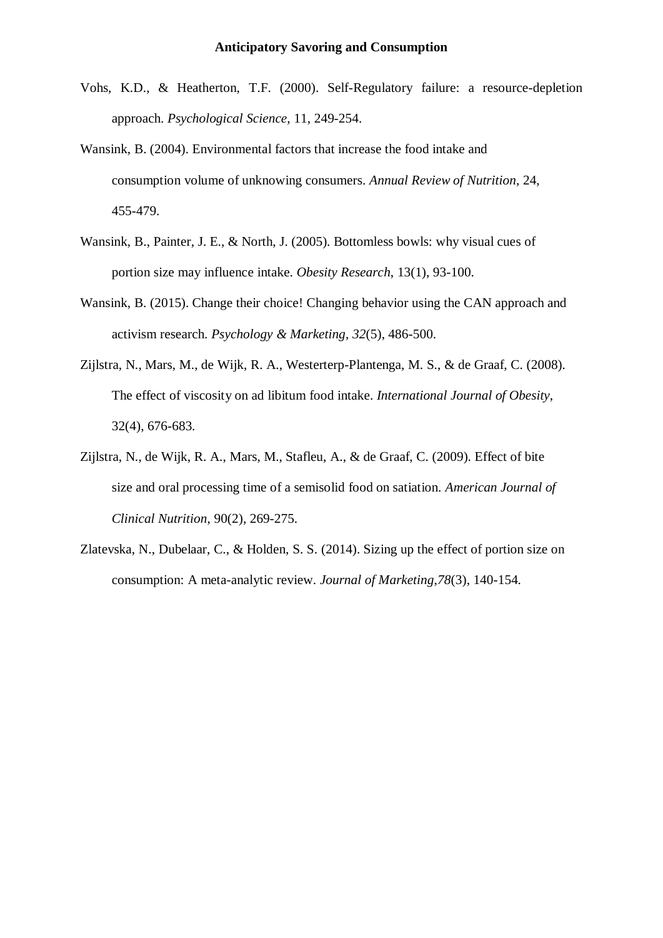- Vohs, K.D., & Heatherton, T.F. (2000). Self-Regulatory failure: a resource-depletion approach. *Psychological Science*, 11, 249-254.
- Wansink, B. (2004). Environmental factors that increase the food intake and consumption volume of unknowing consumers. *Annual Review of Nutrition*, 24, 455-479.
- Wansink, B., Painter, J. E., & North, J. (2005). Bottomless bowls: why visual cues of portion size may influence intake. *Obesity Research*, 13(1), 93-100.
- Wansink, B. (2015). Change their choice! Changing behavior using the CAN approach and activism research. *Psychology & Marketing*, *32*(5), 486-500.
- Zijlstra, N., Mars, M., de Wijk, R. A., Westerterp-Plantenga, M. S., & de Graaf, C. (2008). The effect of viscosity on ad libitum food intake. *International Journal of Obesity*, 32(4), 676-683.
- Zijlstra, N., de Wijk, R. A., Mars, M., Stafleu, A., & de Graaf, C. (2009). Effect of bite size and oral processing time of a semisolid food on satiation. *American Journal of Clinical Nutrition*, 90(2), 269-275.
- Zlatevska, N., Dubelaar, C., & Holden, S. S. (2014). Sizing up the effect of portion size on consumption: A meta-analytic review. *Journal of Marketing*,*78*(3), 140-154.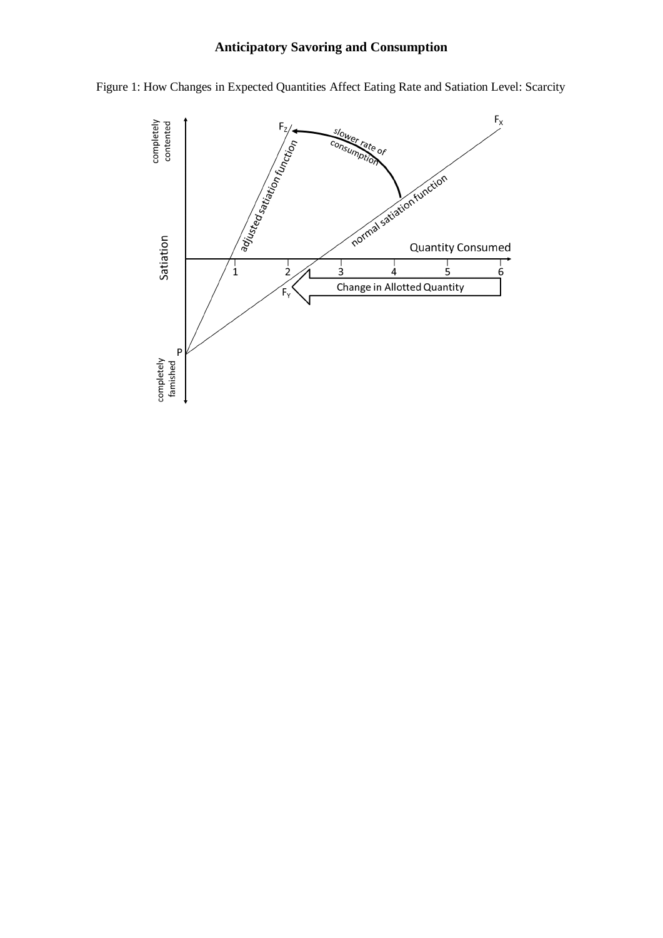# **Anticipatory Savoring and Consumption**



Figure 1: How Changes in Expected Quantities Affect Eating Rate and Satiation Level: Scarcity